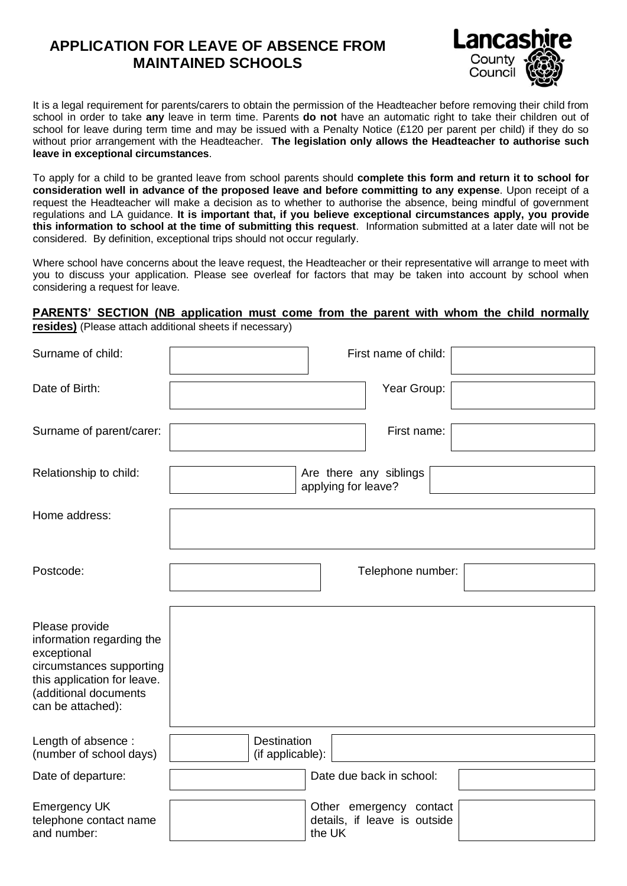## **APPLICATION FOR LEAVE OF ABSENCE FROM MAINTAINED SCHOOLS**



It is a legal requirement for parents/carers to obtain the permission of the Headteacher before removing their child from school in order to take **any** leave in term time. Parents **do not** have an automatic right to take their children out of school for leave during term time and may be issued with a Penalty Notice (£120 per parent per child) if they do so without prior arrangement with the Headteacher. **The legislation only allows the Headteacher to authorise such leave in exceptional circumstances**.

To apply for a child to be granted leave from school parents should **complete this form and return it to school for consideration well in advance of the proposed leave and before committing to any expense**. Upon receipt of a request the Headteacher will make a decision as to whether to authorise the absence, being mindful of government regulations and LA guidance. **It is important that, if you believe exceptional circumstances apply, you provide this information to school at the time of submitting this request**. Information submitted at a later date will not be considered. By definition, exceptional trips should not occur regularly.

Where school have concerns about the leave request, the Headteacher or their representative will arrange to meet with you to discuss your application. Please see overleaf for factors that may be taken into account by school when considering a request for leave.

## **PARENTS' SECTION (NB application must come from the parent with whom the child normally resides)** (Please attach additional sheets if necessary)

| Surname of child:                                                                                                                                                   | First name of child:                                              |  |  |  |
|---------------------------------------------------------------------------------------------------------------------------------------------------------------------|-------------------------------------------------------------------|--|--|--|
| Date of Birth:                                                                                                                                                      | Year Group:                                                       |  |  |  |
| Surname of parent/carer:                                                                                                                                            | First name:                                                       |  |  |  |
| Relationship to child:                                                                                                                                              | Are there any siblings<br>applying for leave?                     |  |  |  |
| Home address:                                                                                                                                                       |                                                                   |  |  |  |
| Postcode:                                                                                                                                                           | Telephone number:                                                 |  |  |  |
| Please provide<br>information regarding the<br>exceptional<br>circumstances supporting<br>this application for leave.<br>(additional documents<br>can be attached): |                                                                   |  |  |  |
| Length of absence:<br>(number of school days)                                                                                                                       | <b>Destination</b><br>(if applicable):                            |  |  |  |
| Date of departure:                                                                                                                                                  | Date due back in school:                                          |  |  |  |
| <b>Emergency UK</b><br>telephone contact name<br>and number:                                                                                                        | Other emergency contact<br>details, if leave is outside<br>the UK |  |  |  |